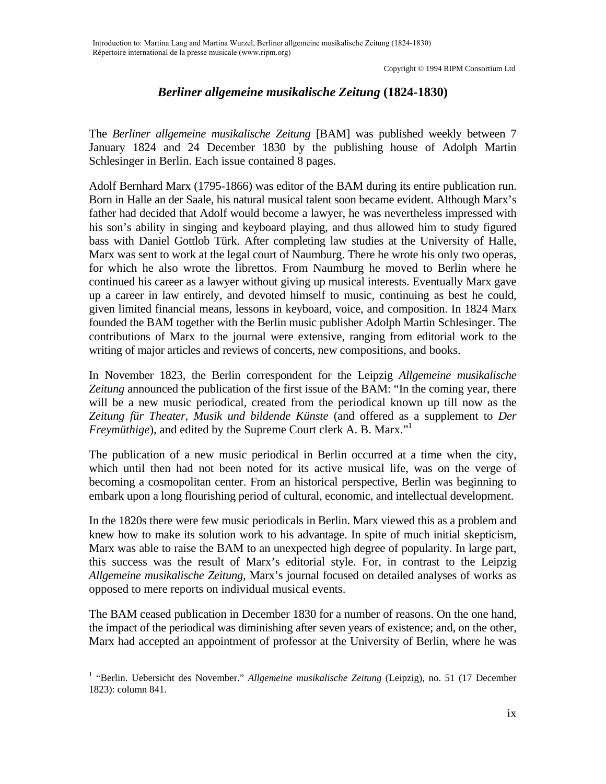## *Berliner allgemeine musikalische Zeitung* **(1824-1830)**

The *Berliner allgemeine musikalische Zeitung* [BAM] was published weekly between 7 January 1824 and 24 December 1830 by the publishing house of Adolph Martin Schlesinger in Berlin. Each issue contained 8 pages.

Adolf Bernhard Marx (1795-1866) was editor of the BAM during its entire publication run. Born in Halle an der Saale, his natural musical talent soon became evident. Although Marx's father had decided that Adolf would become a lawyer, he was nevertheless impressed with his son's ability in singing and keyboard playing, and thus allowed him to study figured bass with Daniel Gottlob Türk. After completing law studies at the University of Halle, Marx was sent to work at the legal court of Naumburg. There he wrote his only two operas, for which he also wrote the librettos. From Naumburg he moved to Berlin where he continued his career as a lawyer without giving up musical interests. Eventually Marx gave up a career in law entirely, and devoted himself to music, continuing as best he could, given limited financial means, lessons in keyboard, voice, and composition. In 1824 Marx founded the BAM together with the Berlin music publisher Adolph Martin Schlesinger. The contributions of Marx to the journal were extensive, ranging from editorial work to the writing of major articles and reviews of concerts, new compositions, and books.

In November 1823, the Berlin correspondent for the Leipzig *Allgemeine musikalische Zeitung* announced the publication of the first issue of the BAM: "In the coming year, there will be a new music periodical, created from the periodical known up till now as the *Zeitung für Theater, Musik und bildende Künste* (and offered as a supplement to *Der Freymüthige*), and edited by the Supreme Court clerk A. B. Marx."

The publication of a new music periodical in Berlin occurred at a time when the city, which until then had not been noted for its active musical life, was on the verge of becoming a cosmopolitan center. From an historical perspective, Berlin was beginning to embark upon a long flourishing period of cultural, economic, and intellectual development.

In the 1820s there were few music periodicals in Berlin. Marx viewed this as a problem and knew how to make its solution work to his advantage. In spite of much initial skepticism, Marx was able to raise the BAM to an unexpected high degree of popularity. In large part, this success was the result of Marx's editorial style. For, in contrast to the Leipzig *Allgemeine musikalische Zeitung*, Marx's journal focused on detailed analyses of works as opposed to mere reports on individual musical events.

The BAM ceased publication in December 1830 for a number of reasons. On the one hand, the impact of the periodical was diminishing after seven years of existence; and, on the other, Marx had accepted an appointment of professor at the University of Berlin, where he was

<span id="page-0-0"></span><sup>&</sup>lt;sup>1</sup> "Berlin. Uebersicht des November." Allgemeine musikalische Zeitung (Leipzig), no. 51 (17 December 1823): column 841.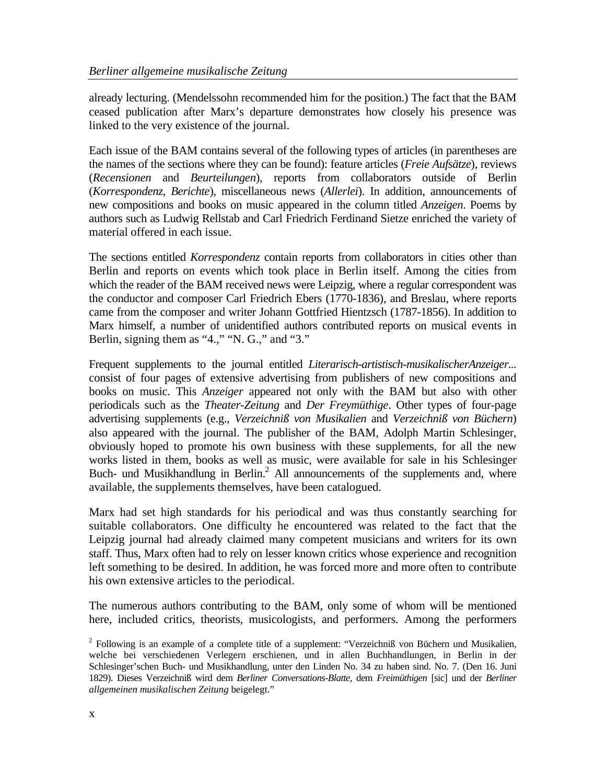already lecturing. (Mendelssohn recommended him for the position.) The fact that the BAM ceased publication after Marx's departure demonstrates how closely his presence was linked to the very existence of the journal.

Each issue of the BAM contains several of the following types of articles (in parentheses are the names of the sections where they can be found): feature articles (*Freie Aufsätze*), reviews (*Recensionen* and *Beurteilungen*), reports from collaborators outside of Berlin (*Korrespondenz*, *Berichte*), miscellaneous news (*Allerlei*). In addition, announcements of new compositions and books on music appeared in the column titled *Anzeigen*. Poems by authors such as Ludwig Rellstab and Carl Friedrich Ferdinand Sietze enriched the variety of material offered in each issue.

The sections entitled *Korrespondenz* contain reports from collaborators in cities other than Berlin and reports on events which took place in Berlin itself. Among the cities from which the reader of the BAM received news were Leipzig, where a regular correspondent was the conductor and composer Carl Friedrich Ebers (1770-1836), and Breslau, where reports came from the composer and writer Johann Gottfried Hientzsch (1787-1856). In addition to Marx himself, a number of unidentified authors contributed reports on musical events in Berlin, signing them as "4.," "N. G.," and "3."

Frequent supplements to the journal entitled *Literarisch-artistisch-musikalischerAnzeiger...*  consist of four pages of extensive advertising from publishers of new compositions and books on music. This *Anzeiger* appeared not only with the BAM but also with other periodicals such as the *Theater-Zeitung* and *Der Freymüthige*. Other types of four-page advertising supplements (e.g., *Verzeichniß von Musikalien* and *Verzeichniß von Büchern*) also appeared with the journal. The publisher of the BAM, Adolph Martin Schlesinger, obviously hoped to promote his own business with these supplements, for all the new works listed in them, books as well as music, were available for sale in his Schlesinger Buch- und Musikhandlung in Berlin.<sup>2</sup> All announcements of the supplements and, where available, the supplements themselves, have been catalogued.

Marx had set high standards for his periodical and was thus constantly searching for suitable collaborators. One difficulty he encountered was related to the fact that the Leipzig journal had already claimed many competent musicians and writers for its own staff. Thus, Marx often had to rely on lesser known critics whose experience and recognition left something to be desired. In addition, he was forced more and more often to contribute his own extensive articles to the periodical.

The numerous authors contributing to the BAM, only some of whom will be mentioned here, included critics, theorists, musicologists, and performers. Among the performers

<span id="page-1-0"></span> $2$  Following is an example of a complete title of a supplement: "Verzeichniß von Büchern und Musikalien, welche bei verschiedenen Verlegern erschienen, und in allen Buchhandlungen, in Berlin in der Schlesinger'schen Buch- und Musikhandlung, unter den Linden No. 34 zu haben sind. No. 7. (Den 16. Juni 1829). Dieses Verzeichniß wird dem *Berliner Conversations-Blatte*, dem *Freimüthigen* [sic] und der *Berliner allgemeinen musikalischen Zeitung* beigelegt."